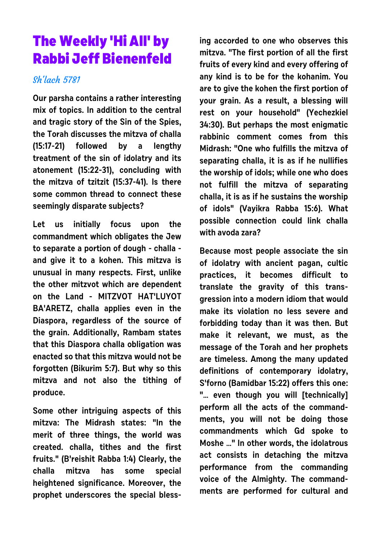## **The Weekly 'Hi All' by Rabbi Jeff Bienenfeld**

## Sh'lach 5781

**Our parsha contains a rather interesting mix of topics. In addition to the central and tragic story of the Sin of the Spies, the Torah discusses the mitzva of challa (15:17-21) followed by a lengthy treatment of the sin of idolatry and its atonement (15:22-31), concluding with the mitzva of tzitzit (15:37-41). Is there some common thread to connect these seemingly disparate subjects?**

**Let us initially focus upon the commandment which obligates the Jew to separate a portion of dough - challa and give it to a kohen. This mitzva is unusual in many respects. First, unlike the other mitzvot which are dependent on the Land - MITZVOT HAT'LUYOT BA'ARETZ, challa applies even in the Diaspora, regardless of the source of the grain. Additionally, Rambam states that this Diaspora challa obligation was enacted so that this mitzva would not be forgotten (Bikurim 5:7). But why so this mitzva and not also the tithing of produce.**

**Some other intriguing aspects of this mitzva: The Midrash states: "In the merit of three things, the world was created. challa, tithes and the first fruits." (B'reishit Rabba 1:4) Clearly, the challa mitzva has some special heightened significance. Moreover, the prophet underscores the special bless-** **ing accorded to one who observes this mitzva. "The first portion of all the first fruits of every kind and every offering of any kind is to be for the kohanim. You are to give the kohen the first portion of your grain. As a result, a blessing will rest on your household" (Yechezkiel 34:30). But perhaps the most enigmatic rabbinic comment comes from this Midrash: "One who fulfills the mitzva of separating challa, it is as if he nullifies the worship of idols; while one who does not fulfill the mitzva of separating challa, it is as if he sustains the worship of idols" (Vayikra Rabba 15:6). What possible connection could link challa with avoda zara?**

**Because most people associate the sin of idolatry with ancient pagan, cultic practices, it becomes difficult to translate the gravity of this transgression into a modern idiom that would make its violation no less severe and forbidding today than it was then. But make it relevant, we must, as the message of the Torah and her prophets are timeless. Among the many updated definitions of contemporary idolatry, S'forno (Bamidbar 15:22) offers this one: "… even though you will [technically] perform all the acts of the commandments, you will not be doing those commandments which Gd spoke to Moshe …" In other words, the idolatrous act consists in detaching the mitzva performance from the commanding voice of the Almighty. The commandments are performed for cultural and**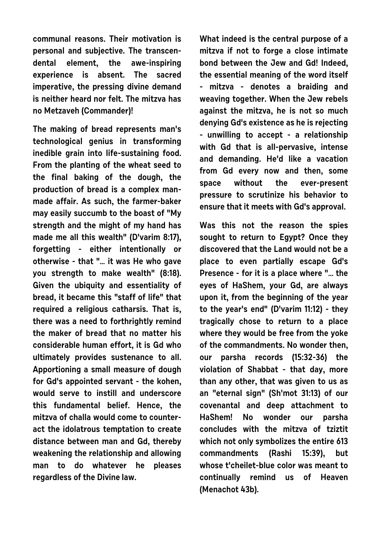**communal reasons. Their motivation is personal and subjective. The transcendental element, the awe-inspiring experience is absent. The sacred imperative, the pressing divine demand is neither heard nor felt. The mitzva has no Metzaveh (Commander)!** 

**The making of bread represents man's technological genius in transforming inedible grain into life-sustaining food. From the planting of the wheat seed to the final baking of the dough, the production of bread is a complex manmade affair. As such, the farmer-baker may easily succumb to the boast of "My strength and the might of my hand has made me all this wealth" (D'varim 8:17), forgetting - either intentionally or otherwise - that "… it was He who gave you strength to make wealth" (8:18). Given the ubiquity and essentiality of bread, it became this "staff of life" that required a religious catharsis. That is, there was a need to forthrightly remind the maker of bread that no matter his considerable human effort, it is Gd who ultimately provides sustenance to all. Apportioning a small measure of dough for Gd's appointed servant - the kohen, would serve to instill and underscore this fundamental belief. Hence, the mitzva of challa would come to counteract the idolatrous temptation to create distance between man and Gd, thereby weakening the relationship and allowing man to do whatever he pleases regardless of the Divine law.**

**What indeed is the central purpose of a mitzva if not to forge a close intimate bond between the Jew and Gd! Indeed, the essential meaning of the word itself - mitzva - denotes a braiding and weaving together. When the Jew rebels against the mitzva, he is not so much denying Gd's existence as he is rejecting - unwilling to accept - a relationship with Gd that is all-pervasive, intense and demanding. He'd like a vacation from Gd every now and then, some space without the ever-present pressure to scrutinize his behavior to ensure that it meets with Gd's approval.**

**Was this not the reason the spies sought to return to Egypt? Once they discovered that the Land would not be a place to even partially escape Gd's Presence - for it is a place where "… the eyes of HaShem, your Gd, are always upon it, from the beginning of the year to the year's end" (D'varim 11:12) - they tragically chose to return to a place where they would be free from the yoke of the commandments. No wonder then, our parsha records (15:32-36) the violation of Shabbat - that day, more than any other, that was given to us as an "eternal sign" (Sh'mot 31:13) of our covenantal and deep attachment to HaShem! No wonder our parsha concludes with the mitzva of tziztit which not only symbolizes the entire 613 commandments (Rashi 15:39), but whose t'cheilet-blue color was meant to continually remind us of Heaven (Menachot 43b).**